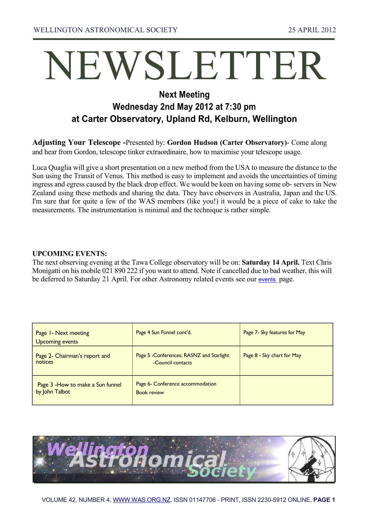# NEWSLETTER

## **Next Meeting Wednesday 2nd May 2012 at 7:30 pm at Carter Observatory, Upland Rd, Kelburn, Wellington**

**Adjusting Your Telescope -**Presented by: **Gordon Hudson (Carter Observatory)**- Come along and hear from Gordon, telescope tinker extraordinaire, how to maximise your telescope usage.

Luca Quaglia will give a short presentation on a new method from the USA to measure the distance to the Sun using the Transit of Venus. This method is easy to implement and avoids the uncertainties of timing ingress and egress caused by the black drop effect. We would be keen on having some ob- servers in New Zealand using these methods and sharing the data. They have observers in Australia, Japan and the US. I'm sure that for quite a few of the WAS members (like you!) it would be a piece of cake to take the measurements. The instrumentation is minimal and the technique is rather simple.

#### **UPCOMING EVENTS:**

The next observing evening at the Tawa College observatory will be on: **Saturday 14 April.** Text Chris Monigatti on his mobile 021 890 222 if you want to attend. Note if cancelled due to bad weather, this will be deferred to Saturday 21 April. For other Astronomy related events see our [events](http://was.org.nz/01events.html) page.

| Page 1- Next meeting<br><b>Upcoming events</b>      | Page 4 Sun Funnel cont'd.                                     | Page 7- Sky features for May |
|-----------------------------------------------------|---------------------------------------------------------------|------------------------------|
| Page 2- Chairman's report and<br>notices            | Page 5 -Conferences; RASNZ and Starlight<br>-Council contacts | Page 8 - Sky chart for May   |
| Page 3 - How to make a Sun funnel<br>by John Talbot | Page 6- Conference accommodation<br><b>Book review</b>        |                              |

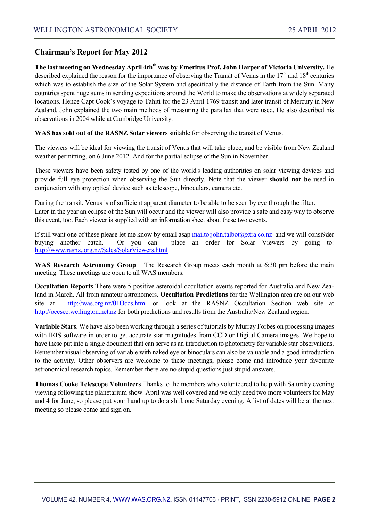#### **Chairman's Report for May 2012**

**The last meeting on Wednesday April 4thth was by Emeritus Prof. John Harper of Victoria University.** He described explained the reason for the importance of observing the Transit of Venus in the  $17<sup>th</sup>$  and  $18<sup>th</sup>$  centuries which was to establish the size of the Solar System and specifically the distance of Earth from the Sun. Many countries spent huge sums in sending expeditions around the World to make the observations at widely separated locations. Hence Capt Cook's voyage to Tahiti for the 23 April 1769 transit and later transit of Mercury in New Zealand. John explained the two main methods of measuring the parallax that were used. He also described his observations in 2004 while at Cambridge University.

**WAS has sold out of the RASNZ Solar viewers** suitable for observing the transit of Venus.

The viewers will be ideal for viewing the transit of Venus that will take place, and be visible from New Zealand weather permitting, on 6 June 2012. And for the partial eclipse of the Sun in November.

These viewers have been safety tested by one of the world's leading authorities on solar viewing devices and provide full eye protection when observing the Sun directly. Note that the viewer **should not be** used in conjunction with any optical device such as telescope, binoculars, camera etc.

During the transit, Venus is of sufficient apparent diameter to be able to be seen by eye through the filter. Later in the year an eclipse of the Sun will occur and the viewer will also provide a safe and easy way to observe this event, too. Each viewer is supplied with an information sheet about these two events.

If still want one of these please let me know by email asap <mailto:john.talbot@xtra.co.nz>and we will consi9der buying another batch. Or you can place an order for Solar Viewers by going to: [http://www.rasnz..org.nz/Sales/SolarViewers.html](http://www.rasnz..org.nz/sales/solarviewers.html)

**WAS Research Astronomy Group** The Research Group meets each month at 6:30 pm before the main meeting. These meetings are open to all WAS members.

**Occultation Reports** There were 5 positive asteroidal occultation events reported for Australia and New Zealand in March. All from amateur astronomers. **Occultation Predictions** for the Wellington area are on our web site at [http://was.org.nz/01Occs.html](http://was.org.nz/01occs.html) or look at the RASNZ Occultation Section web site at [http://occsec.wellington.net.nz](http://occsec.wellington.net.nz/) for both predictions and results from the Australia/New Zealand region.

**Variable Stars**. We have also been working through a series of tutorials by Murray Forbes on processing images with IRIS software in order to get accurate star magnitudes from CCD or Digital Camera images. We hope to have these put into a single document that can serve as an introduction to photometry for variable star observations. Remember visual observing of variable with naked eye or binoculars can also be valuable and a good introduction to the activity. Other observers are welcome to these meetings; please come and introduce your favourite astronomical research topics. Remember there are no stupid questions just stupid answers.

**Thomas Cooke Telescope Volunteers** Thanks to the members who volunteered to help with Saturday evening viewing following the planetarium show. April was well covered and we only need two more volunteers for May and 4 for June, so please put your hand up to do a shift one Saturday evening. A list of dates will be at the next meeting so please come and sign on.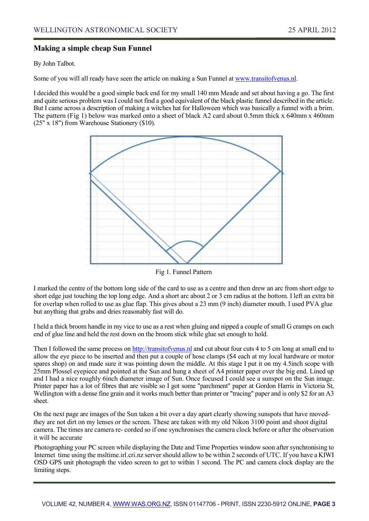#### **Making a simple cheap Sun Funnel**

By John Talbot.

Some of you will all ready have seen the article on making a Sun Funnel at [www.transitofvenus.nl.](http://www.transitofvenus.nl./)

I decided this would be a good simple back end for my small 140 mm Meade and set about having a go. The first and quite serious problem was I could not find a good equivalent of the black plastic funnel described in the article. But I came across a description of making a witches hat for Halloween which was basically a funnel with a brim. The pattern (Fig 1) below was marked onto a sheet of black A2 card about 0.5mm thick x 640mm x 460mm (25" x 18") from Warehouse Stationery (\$10).



Fig 1. Funnel Pattern

I marked the centre of the bottom long side of the card to use as a centre and then drew an arc from short edge to short edge just touching the top long edge. And a short arc about 2 or 3 cm radius at the bottom. I left an extra bit for overlap when rolled to use as glue flap. This gives about a 23 mm (9 inch) diameter mouth. I used PVA glue but anything that grabs and dries reasonably fast will do.

I held a thick broom handle in my vice to use as a rest when gluing and nipped a couple of small G cramps on each end of glue line and held the rest down on the broom stick while glue set enough to hold.

Then I followed the same process o[n http://transitofvenus.nl](http://transitofvenus.nl/) and cut about four cuts 4 to 5 cm long at small end to allow the eye piece to be inserted and then put a couple of hose clamps (\$4 each at my local hardware or motor spares shop) on and made sure it was pointing down the middle. At this stage I put it on my 4.5inch scope with 25mm Plossel eyepiece and pointed at the Sun and hung a sheet of A4 printer paper over the big end. Lined up and I had a nice roughly 6inch diameter image of Sun. Once focused I could see a sunspot on the Sun image. Printer paper has a lot of fibres that are visible so I got some "parchment" paper at Gordon Harris in Victoria St, Wellington with a dense fine grain and it works much better than printer or "tracing" paper and is only \$2 for an A3 sheet.

On the next page are images of the Sun taken a bit over a day apart clearly showing sunspots that have movedthey are not dirt on my lenses or the screen. These are taken with my old Nikon 3100 point and shoot digital camera. The times are camera re- corded so if one synchronises the camera clock before or after the observation it will be accurate

Photographing your PC screen while displaying the Date and Time Properties window soon after synchronising to Internet time using the msltime.irl.cri.nz server should allow to be within 2 seconds of UTC. If you have a KIWI OSD GPS unit photograph the video screen to get to within 1 second. The PC and camera clock display are the limiting steps.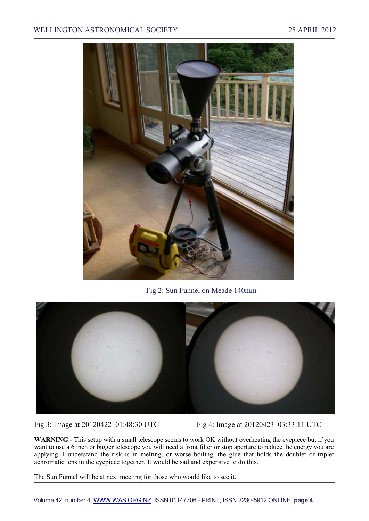#### WELLINGTON ASTRONOMICAL SOCIETY 25 APRIL 2012



Fig 2: Sun Funnel on Meade 140mm



Fig 3: Image at 20120422 01:48:30 UTC Fig 4: Image at 20120423 03:33:11 UTC

**WARNING** - This setup with a small telescope seems to work OK without overheating the eyepiece but if you want to use a 6 inch or bigger telescope you will need a front filter or stop aperture to reduce the energy you are applying. I understand the risk is in melting, or worse boiling, the glue that holds the doublet or triplet achromatic lens in the eyepiece together. It would be sad and expensive to do this.

The Sun Funnel will be at next meeting for those who would like to see it.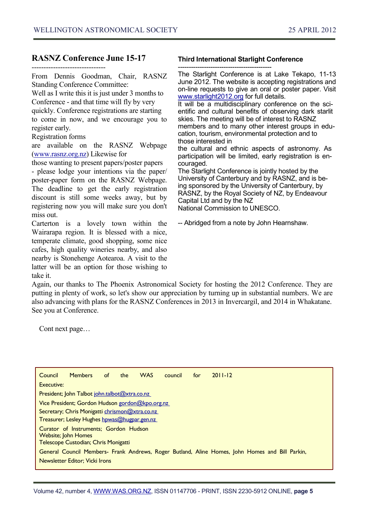#### **RASNZ Conference June 15-17**

-------------------------------

From Dennis Goodman, Chair, RASNZ Standing Conference Committee:

Well as I write this it is just under 3 months to Conference - and that time will fly by very quickly. Conference registrations are starting to come in now, and we encourage you to register early.

Registration forms

are available on the RASNZ Webpage [\(www.rasnz.org.nz\)](http://www.rasnz.org.nz/) Likewise for

those wanting to present papers/poster papers - please lodge your intentions via the paper/

poster-paper form on the RASNZ Webpage. The deadline to get the early registration discount is still some weeks away, but by registering now you will make sure you don't miss out.

Carterton is a lovely town within the Wairarapa region. It is blessed with a nice, temperate climate, good shopping, some nice cafes, high quality wineries nearby, and also nearby is Stonehenge Aotearoa. A visit to the latter will be an option for those wishing to take it.

#### **Third International Starlight Conference**

------------------------------------------- The Starlight Conference is at Lake Tekapo, 11-13 June 2012. The website is accepting registrations and on-line requests to give an oral or poster paper. Visit [www.starlight2012.org](http://www.starlight2012.org/) for full details.

It will be a multidisciplinary conference on the scientific and cultural benefits of observing dark starlit skies. The meeting will be of interest to RASNZ members and to many other interest groups in education, tourism, environmental protection and to those interested in

the cultural and ethnic aspects of astronomy. As participation will be limited, early registration is encouraged.

The Starlight Conference is jointly hosted by the University of Canterbury and by RASNZ, and is being sponsored by the University of Canterbury, by RASNZ, by the Royal Society of NZ, by Endeavour Capital Ltd and by the NZ National Commission to UNESCO.

-- Abridged from a note by John Hearnshaw.

Again, our thanks to The Phoenix Astronomical Society for hosting the 2012 Conference. They are putting in plenty of work, so let's show our appreciation by turning up in substantial numbers. We are also advancing with plans for the RASNZ Conferences in 2013 in Invercargil, and 2014 in Whakatane. See you at Conference.

Cont next page…

| Council                                                                                         | <b>Members</b> | of. | the | <b>WAS</b> | council | for | $2011 - 12$ |  |
|-------------------------------------------------------------------------------------------------|----------------|-----|-----|------------|---------|-----|-------------|--|
| Executive:                                                                                      |                |     |     |            |         |     |             |  |
| President; John Talbot john.talbot@xtra.co.nz                                                   |                |     |     |            |         |     |             |  |
| <u>Vice President; Gordon Hudson gordon@kpo.org.nz</u>                                          |                |     |     |            |         |     |             |  |
| Secretary; Chris Monigatti chrismon@xtra.co.nz                                                  |                |     |     |            |         |     |             |  |
| Treasurer; Lesley Hughes hpwas@hugpar.gen.nz                                                    |                |     |     |            |         |     |             |  |
| Curator of Instruments; Gordon Hudson                                                           |                |     |     |            |         |     |             |  |
| <b>Website; John Homes</b><br>Telescope Custodian; Chris Monigatti                              |                |     |     |            |         |     |             |  |
| General Council Members- Frank Andrews, Roger Butland, Aline Homes, John Homes and Bill Parkin, |                |     |     |            |         |     |             |  |
| Newsletter Editor; Vicki Irons                                                                  |                |     |     |            |         |     |             |  |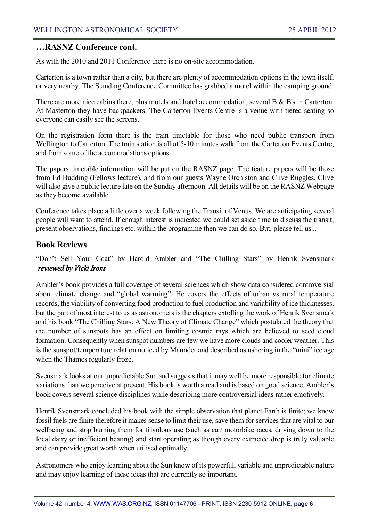#### **…RASNZ Conference cont.**

As with the 2010 and 2011 Conference there is no on-site accommodation.

Carterton is a town rather than a city, but there are plenty of accommodation options in the town itself, or very nearby. The Standing Conference Committee has grabbed a motel within the camping ground.

There are more nice cabins there, plus motels and hotel accommodation, several B & B's in Carterton. At Masterton they have backpackers. The Carterton Events Centre is a venue with tiered seating so everyone can easily see the screens.

On the registration form there is the train timetable for those who need public transport from Wellington to Carterton. The train station is all of 5-10 minutes walk from the Carterton Events Centre, and from some of the accommodations options.

The papers timetable information will be put on the RASNZ page. The feature papers will be those from Ed Budding (Fellows lecture), and from our guests Wayne Orchiston and Clive Ruggles. Clive will also give a public lecture late on the Sunday afternoon. All details will be on the RASNZ Webpage as they become available.

Conference takes place a little over a week following the Transit of Venus. We are anticipating several people will want to attend. If enough interest is indicated we could set aside time to discuss the transit, present observations, findings etc. within the programme then we can do so. But, please tell us...

#### **Book Reviews**

"Don't Sell Your Coat" by Harold Ambler and "The Chilling Stars" by Henrik Svensmark *reviewed by Vicki Irons* 

Ambler's book provides a full coverage of several sciences which show data considered controversial about climate change and "global warming". He covers the effects of urban vs rural temperature records, the viability of converting food production to fuel production and variability of ice thicknesses, but the part of most interest to us as astronomers is the chapters extolling the work of Henrik Svensmark and his book "The Chilling Stars: A New Theory of Climate Change" which postulated the theory that the number of sunspots has an effect on limiting cosmic rays which are believed to seed cloud formation. Consequently when sunspot numbers are few we have more clouds and cooler weather. This is the sunspot/temperature relation noticed by Maunder and described as ushering in the "mini" ice age when the Thames regularly froze.

Svensmark looks at our unpredictable Sun and suggests that it may well be more responsible for climate variations than we perceive at present. His book is worth a read and is based on good science. Ambler's book covers several science disciplines while describing more controversial ideas rather emotively.

Henrik Svensmark concluded his book with the simple observation that planet Earth is finite; we know fossil fuels are finite therefore it makes sense to limit their use, save them for services that are vital to our wellbeing and stop burning them for frivolous use (such as car/ motorbike races, driving down to the local dairy or inefficient heating) and start operating as though every extracted drop is truly valuable and can provide great worth when utilised optimally.

Astronomers who enjoy learning about the Sun know of its powerful, variable and unpredictable nature and may enjoy learning of these ideas that are currently so important.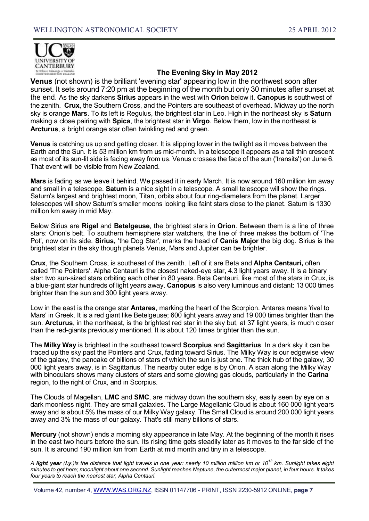

### **The Evening Sky in May 2012**

**Venus** (not shown) is the brilliant 'evening star' appearing low in the northwest soon after sunset. It sets around 7:20 pm at the beginning of the month but only 30 minutes after sunset at the end. As the sky darkens **Sirius** appears in the west with **Orion** below it. **Canopus** is southwest of the zenith. **Crux**, the Southern Cross, and the Pointers are southeast of overhead. Midway up the north sky is orange **Mars**. To its left is Regulus, the brightest star in Leo. High in the northeast sky is **Saturn** making a close pairing with **Spica**, the brightest star in **Virgo**. Below them, low in the northeast is **Arcturus**, a bright orange star often twinkling red and green.

**Venus** is catching us up and getting closer. It is slipping lower in the twilight as it moves between the Earth and the Sun. It is 53 million km from us mid-month. In a telescope it appears as a tall thin crescent as most of its sun-lit side is facing away from us. Venus crosses the face of the sun ('transits') on June 6. That event will be visible from New Zealand.

**Mars** is fading as we leave it behind. We passed it in early March. It is now around 160 million km away and small in a telescope. **Saturn** is a nice sight in a telescope. A small telescope will show the rings. Saturn's largest and brightest moon, Titan, orbits about four ring-diameters from the planet. Larger telescopes will show Saturn's smaller moons looking like faint stars close to the planet. Saturn is 1330 million km away in mid May.

Below Sirius are **Rigel** and **Betelgeuse**, the brightest stars in **Orion**. Between them is a line of three stars: Orion's belt. To southern hemisphere star watchers, the line of three makes the bottom of 'The Pot', now on its side. **Sirius,** 'the Dog Star', marks the head of **Canis Major** the big dog. Sirius is the brightest star in the sky though planets Venus, Mars and Jupiter can be brighter.

**Crux**, the Southern Cross, is southeast of the zenith. Left of it are Beta and **Alpha Centauri,** often called 'The Pointers'. Alpha Centauri is the closest naked-eye star, 4.3 light years away. It is a binary star: two sun-sized stars orbiting each other in 80 years. Beta Centauri, like most of the stars in Crux, is a blue-giant star hundreds of light years away. **Canopus** is also very luminous and distant: 13 000 times brighter than the sun and 300 light years away.

Low in the east is the orange star **Antares**, marking the heart of the Scorpion. Antares means 'rival to Mars' in Greek. It is a red giant like Betelgeuse; 600 light years away and 19 000 times brighter than the sun. **Arcturus**, in the northeast, is the brightest red star in the sky but, at 37 light years, is much closer than the red-giants previously mentioned. It is about 120 times brighter than the sun.

The **Milky Way** is brightest in the southeast toward **Scorpius** and **Sagittarius**. In a dark sky it can be traced up the sky past the Pointers and Crux, fading toward Sirius. The Milky Way is our edgewise view of the galaxy, the pancake of billions of stars of which the sun is just one. The thick hub of the galaxy, 30 000 light years away, is in Sagittarius. The nearby outer edge is by Orion. A scan along the Milky Way with binoculars shows many clusters of stars and some glowing gas clouds, particularly in the **Carina**  region, to the right of Crux, and in Scorpius.

The Clouds of Magellan, **LMC** and **SMC**, are midway down the southern sky, easily seen by eye on a dark moonless night. They are small galaxies. The Large Magellanic Cloud is about 160 000 light years away and is about 5% the mass of our Milky Way galaxy. The Small Cloud is around 200 000 light years away and 3% the mass of our galaxy. That's still many billions of stars.

**Mercury** (not shown) ends a morning sky appearance in late May. At the beginning of the month it rises in the east two hours before the sun. Its rising time gets steadily later as it moves to the far side of the sun. It is around 190 million km from Earth at mid month and tiny in a telescope.

*A light year (l.y.)is the distance that light travels in one year: nearly 10 million million km or 10<sup>13</sup> km. Sunlight takes eight minutes to get here; moonlight about one second. Sunlight reaches Neptune, the outermost major planet, in four hours. It takes four years to reach the nearest star, Alpha Centauri.*